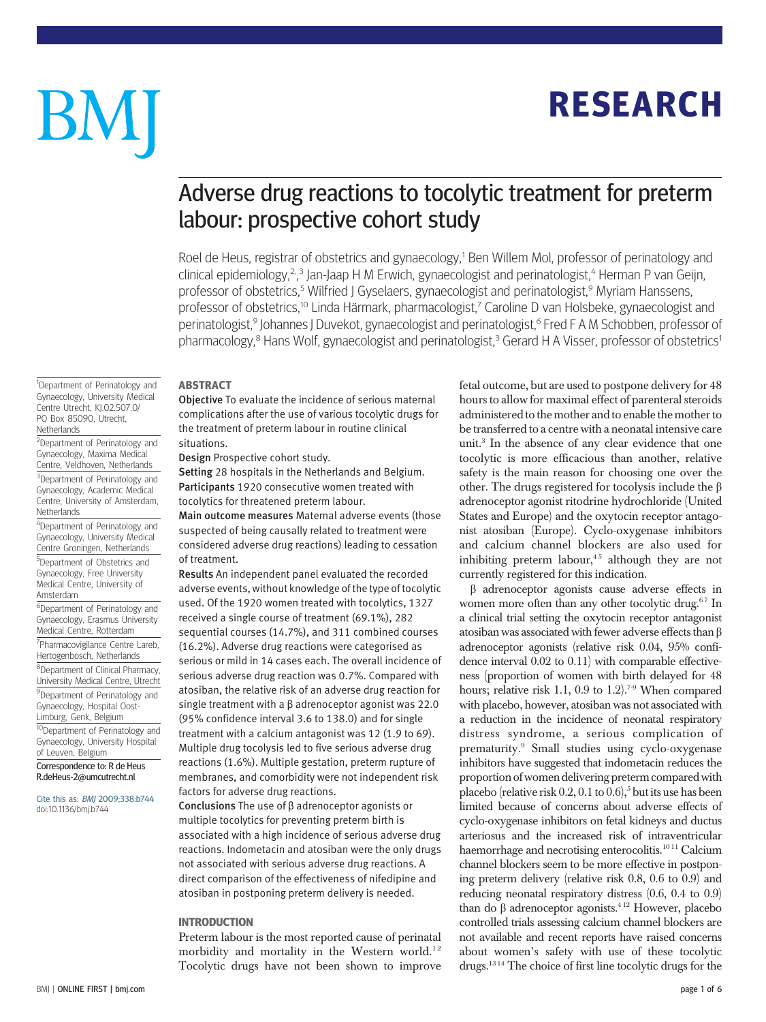## RESEARCH

# BM

### Adverse drug reactions to tocolytic treatment for preterm labour: prospective cohort study

Roel de Heus, registrar of obstetrics and gynaecology,<sup>1</sup> Ben Willem Mol, professor of perinatology and clinical epidemiology,<sup>2, 3</sup> Jan-Jaap H M Erwich, gynaecologist and perinatologist,<sup>4</sup> Herman P van Geijn, professor of obstetrics,<sup>5</sup> Wilfried J Gyselaers, gynaecologist and perinatologist,<sup>9</sup> Myriam Hanssens, professor of obstetrics,<sup>10</sup> Linda Härmark, pharmacologist,<sup>7</sup> Caroline D van Holsbeke, gynaecologist and perinatologist,<sup>9</sup> Johannes J Duvekot, gynaecologist and perinatologist,<sup>6</sup> Fred F A M Schobben, professor of pharmacology,<sup>8</sup> Hans Wolf, gynaecologist and perinatologist,<sup>3</sup> Gerard H A Visser, professor of obstetrics<sup>1</sup>

#### ABSTRACT

Objective To evaluate the incidence of serious maternal complications after the use of various tocolytic drugs for the treatment of preterm labour in routine clinical situations.

Design Prospective cohort study.

Setting 28 hospitals in the Netherlands and Belgium. Participants 1920 consecutive women treated with tocolytics for threatened preterm labour.

Main outcome measures Maternal adverse events (those suspected of being causally related to treatment were considered adverse drug reactions) leading to cessation of treatment.

Results An independent panel evaluated the recorded adverse events, without knowledge of the type of tocolytic used. Of the 1920 women treated with tocolytics, 1327 received a single course of treatment (69.1%), 282 sequential courses (14.7%), and 311 combined courses (16.2%). Adverse drug reactions were categorised as serious or mild in 14 cases each. The overall incidence of serious adverse drug reaction was 0.7%. Compared with atosiban, the relative risk of an adverse drug reaction for single treatment with a β adrenoceptor agonist was 22.0 (95% confidence interval 3.6 to 138.0) and for single treatment with a calcium antagonist was 12 (1.9 to 69). Multiple drug tocolysis led to five serious adverse drug reactions (1.6%). Multiple gestation, preterm rupture of membranes, and comorbidity were not independent risk factors for adverse drug reactions.

Conclusions The use of β adrenoceptor agonists or multiple tocolytics for preventing preterm birth is associated with a high incidence of serious adverse drug reactions. Indometacin and atosiban were the only drugs not associated with serious adverse drug reactions. A direct comparison of the effectiveness of nifedipine and atosiban in postponing preterm delivery is needed.

#### INTRODUCTION

Preterm labour is the most reported cause of perinatal morbidity and mortality in the Western world. $12$ Tocolytic drugs have not been shown to improve fetal outcome, but are used to postpone delivery for 48 hours to allow for maximal effect of parenteral steroids administered to the mother and to enable the mother to be transferred to a centre with a neonatal intensive care unit.<sup>3</sup> In the absence of any clear evidence that one tocolytic is more efficacious than another, relative safety is the main reason for choosing one over the other. The drugs registered for tocolysis include the β adrenoceptor agonist ritodrine hydrochloride (United States and Europe) and the oxytocin receptor antagonist atosiban (Europe). Cyclo-oxygenase inhibitors and calcium channel blockers are also used for inhibiting preterm labour, $45$  although they are not currently registered for this indication.

β adrenoceptor agonists cause adverse effects in women more often than any other tocolytic drug.<sup>67</sup> In a clinical trial setting the oxytocin receptor antagonist atosiban was associated with fewer adverse effects than β adrenoceptor agonists (relative risk 0.04, 95% confidence interval 0.02 to 0.11) with comparable effectiveness (proportion of women with birth delayed for 48 hours; relative risk 1.1, 0.9 to 1.2).<sup>7-9</sup> When compared with placebo, however, atosiban was not associated with a reduction in the incidence of neonatal respiratory distress syndrome, a serious complication of prematurity.<sup>9</sup> Small studies using cyclo-oxygenase inhibitors have suggested that indometacin reduces the proportion of women delivering preterm compared with placebo (relative risk  $0.2$ ,  $0.1$  to  $0.6$ ),<sup>5</sup> but its use has been limited because of concerns about adverse effects of cyclo-oxygenase inhibitors on fetal kidneys and ductus arteriosus and the increased risk of intraventricular haemorrhage and necrotising enterocolitis. $1011$  Calcium channel blockers seem to be more effective in postponing preterm delivery (relative risk 0.8, 0.6 to 0.9) and reducing neonatal respiratory distress (0.6, 0.4 to 0.9) than do β adrenoceptor agonists.<sup>412</sup> However, placebo controlled trials assessing calcium channel blockers are not available and recent reports have raised concerns about women's safety with use of these tocolytic drugs.13 14 The choice of first line tocolytic drugs for the

<sup>1</sup>Department of Perinatology and Gynaecology, University Medical Centre Utrecht, KJ.02.507.0/ PO Box 85090, Utrecht, **Netherlands** 

<sup>2</sup>Department of Perinatology and Gynaecology, Maxima Medical Centre, Veldhoven, Netherlands <sup>3</sup>Department of Perinatology and Gynaecology, Academic Medical Centre, University of Amsterdam, **Netherlands** 

4 Department of Perinatology and Gynaecology, University Medical Centre Groningen, Netherlands

5 Department of Obstetrics and Gynaecology, Free University Medical Centre, University of Amsterdam

6 Department of Perinatology and Gynaecology, Erasmus University Medical Centre, Rotterdam

<sup>7</sup>Pharmacovigilance Centre Lareb, Hertogenbosch, Netherlands

<sup>8</sup>Department of Clinical Pharmacy, University Medical Centre, Utrecht <sup>9</sup>Department of Perinatology and

Gynaecology, Hospital Oost-Limburg, Genk, Belgium

<sup>10</sup>Department of Perinatology and Gynaecology, University Hospital of Leuven, Belgium Correspondence to: R de Heus

R.deHeus-2@umcutrecht.nl

Cite this as: BMJ 2009;338:b744 doi:10.1136/bmj.b744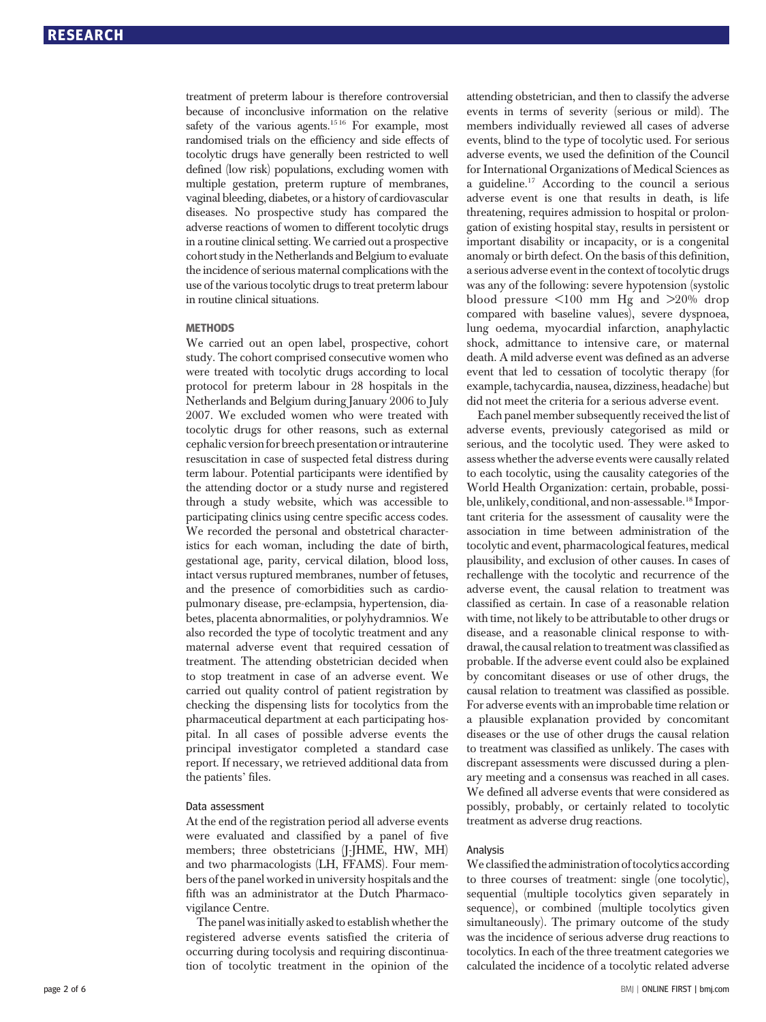treatment of preterm labour is therefore controversial because of inconclusive information on the relative safety of the various agents.<sup>1516</sup> For example, most randomised trials on the efficiency and side effects of tocolytic drugs have generally been restricted to well defined (low risk) populations, excluding women with multiple gestation, preterm rupture of membranes, vaginal bleeding, diabetes, or a history of cardiovascular diseases. No prospective study has compared the adverse reactions of women to different tocolytic drugs in a routine clinical setting. We carried out a prospective cohort study in the Netherlands and Belgium to evaluate the incidence of serious maternal complications with the use of the various tocolytic drugs to treat preterm labour in routine clinical situations.

#### **METHODS**

We carried out an open label, prospective, cohort study. The cohort comprised consecutive women who were treated with tocolytic drugs according to local protocol for preterm labour in 28 hospitals in the Netherlands and Belgium during January 2006 to July 2007. We excluded women who were treated with tocolytic drugs for other reasons, such as external cephalic versionfor breech presentation or intrauterine resuscitation in case of suspected fetal distress during term labour. Potential participants were identified by the attending doctor or a study nurse and registered through a study website, which was accessible to participating clinics using centre specific access codes. We recorded the personal and obstetrical characteristics for each woman, including the date of birth, gestational age, parity, cervical dilation, blood loss, intact versus ruptured membranes, number of fetuses, and the presence of comorbidities such as cardiopulmonary disease, pre-eclampsia, hypertension, diabetes, placenta abnormalities, or polyhydramnios. We also recorded the type of tocolytic treatment and any maternal adverse event that required cessation of treatment. The attending obstetrician decided when to stop treatment in case of an adverse event. We carried out quality control of patient registration by checking the dispensing lists for tocolytics from the pharmaceutical department at each participating hospital. In all cases of possible adverse events the principal investigator completed a standard case report. If necessary, we retrieved additional data from the patients' files.

#### Data assessment

At the end of the registration period all adverse events were evaluated and classified by a panel of five members; three obstetricians (J-JHME, HW, MH) and two pharmacologists (LH, FFAMS). Four members of the panel worked in university hospitals and the fifth was an administrator at the Dutch Pharmacovigilance Centre.

The panel was initially asked to establish whether the registered adverse events satisfied the criteria of occurring during tocolysis and requiring discontinuation of tocolytic treatment in the opinion of the attending obstetrician, and then to classify the adverse events in terms of severity (serious or mild). The members individually reviewed all cases of adverse events, blind to the type of tocolytic used. For serious adverse events, we used the definition of the Council for International Organizations of Medical Sciences as a guideline.17 According to the council a serious adverse event is one that results in death, is life threatening, requires admission to hospital or prolongation of existing hospital stay, results in persistent or important disability or incapacity, or is a congenital anomaly or birth defect. On the basis of this definition, a serious adverse event in the context of tocolytic drugs was any of the following: severe hypotension (systolic blood pressure  $\leq 100$  mm Hg and  $\geq 20\%$  drop compared with baseline values), severe dyspnoea, lung oedema, myocardial infarction, anaphylactic shock, admittance to intensive care, or maternal death. A mild adverse event was defined as an adverse event that led to cessation of tocolytic therapy (for example, tachycardia, nausea, dizziness, headache) but did not meet the criteria for a serious adverse event.

Each panel member subsequently received the list of adverse events, previously categorised as mild or serious, and the tocolytic used. They were asked to assess whether the adverse events were causally related to each tocolytic, using the causality categories of the World Health Organization: certain, probable, possible, unlikely, conditional, and non-assessable.<sup>18</sup> Important criteria for the assessment of causality were the association in time between administration of the tocolytic and event, pharmacological features, medical plausibility, and exclusion of other causes. In cases of rechallenge with the tocolytic and recurrence of the adverse event, the causal relation to treatment was classified as certain. In case of a reasonable relation with time, not likely to be attributable to other drugs or disease, and a reasonable clinical response to withdrawal, the causal relation to treatment was classified as probable. If the adverse event could also be explained by concomitant diseases or use of other drugs, the causal relation to treatment was classified as possible. For adverse events with an improbable time relation or a plausible explanation provided by concomitant diseases or the use of other drugs the causal relation to treatment was classified as unlikely. The cases with discrepant assessments were discussed during a plenary meeting and a consensus was reached in all cases. We defined all adverse events that were considered as possibly, probably, or certainly related to tocolytic treatment as adverse drug reactions.

#### Analysis

We classified the administration of tocolytics according to three courses of treatment: single (one tocolytic), sequential (multiple tocolytics given separately in sequence), or combined (multiple tocolytics given simultaneously). The primary outcome of the study was the incidence of serious adverse drug reactions to tocolytics. In each of the three treatment categories we calculated the incidence of a tocolytic related adverse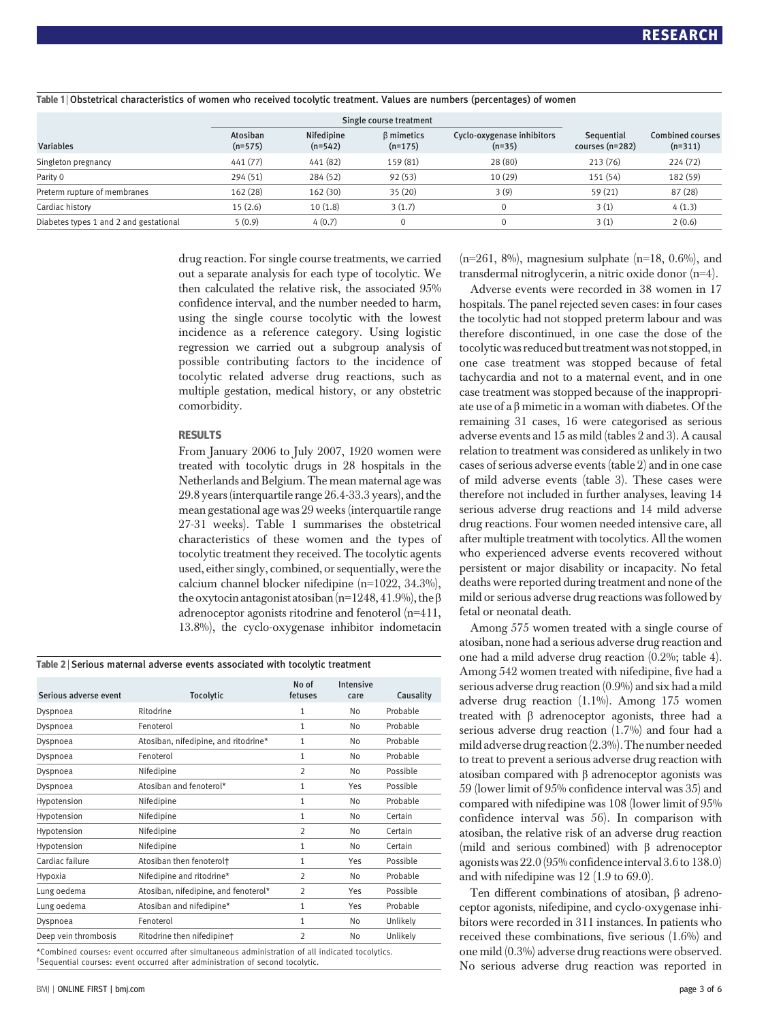|                                        | Single course treatment |                         |                                |                                        |                                 |                                      |
|----------------------------------------|-------------------------|-------------------------|--------------------------------|----------------------------------------|---------------------------------|--------------------------------------|
| <b>Variables</b>                       | Atosiban<br>$(n=575)$   | Nifedipine<br>$(n=542)$ | <b>B</b> mimetics<br>$(n=175)$ | Cyclo-oxygenase inhibitors<br>$(n=35)$ | Sequential<br>courses $(n=282)$ | <b>Combined courses</b><br>$(n=311)$ |
| Singleton pregnancy                    | 441 (77)                | 441 (82)                | 159 (81)                       | 28 (80)                                | 213(76)                         | 224(72)                              |
| Parity 0                               | 294(51)                 | 284 (52)                | 92(53)                         | 10(29)                                 | 151 (54)                        | 182 (59)                             |
| Preterm rupture of membranes           | 162(28)                 | 162(30)                 | 35(20)                         | 3(9)                                   | 59 (21)                         | 87(28)                               |
| Cardiac history                        | 15(2.6)                 | 10(1.8)                 | 3(1.7)                         |                                        | 3(1)                            | 4(1.3)                               |
| Diabetes types 1 and 2 and gestational | 5(0.9)                  | 4(0.7)                  | $\Omega$                       |                                        | 3(1)                            | 2(0.6)                               |

Table 1 | Obstetrical characteristics of women who received tocolytic treatment. Values are numbers (percentages) of women

drug reaction. For single course treatments, we carried out a separate analysis for each type of tocolytic. We then calculated the relative risk, the associated 95% confidence interval, and the number needed to harm, using the single course tocolytic with the lowest incidence as a reference category. Using logistic regression we carried out a subgroup analysis of possible contributing factors to the incidence of tocolytic related adverse drug reactions, such as multiple gestation, medical history, or any obstetric comorbidity.

#### RESULTS

From January 2006 to July 2007, 1920 women were treated with tocolytic drugs in 28 hospitals in the Netherlands and Belgium. The mean maternal age was 29.8 years (interquartile range 26.4-33.3 years), and the mean gestational age was 29 weeks (interquartile range 27-31 weeks). Table 1 summarises the obstetrical characteristics of these women and the types of tocolytic treatment they received. The tocolytic agents used, either singly, combined, or sequentially, were the calcium channel blocker nifedipine (n=1022, 34.3%), the oxytocin antagonist atosiban (n=1248, 41.9%), the  $\beta$ adrenoceptor agonists ritodrine and fenoterol (n=411, 13.8%), the cyclo-oxygenase inhibitor indometacin

Table 2 <sup>|</sup> Serious maternal adverse events associated with tocolytic treatment

| Serious adverse event | <b>Tocolytic</b>                     | No of<br>fetuses        | Intensive<br>care | Causality |
|-----------------------|--------------------------------------|-------------------------|-------------------|-----------|
| Dyspnoea              | Ritodrine                            | 1                       | No                | Probable  |
| Dyspnoea              | Fenoterol                            | 1                       | No                | Probable  |
| Dyspnoea              | Atosiban, nifedipine, and ritodrine* | $\mathbf{1}$            | No                | Probable  |
| Dyspnoea              | Fenoterol                            | $\mathbf{1}$            | No                | Probable  |
| Dyspnoea              | Nifedipine                           | $\overline{2}$          | No                | Possible  |
| Dyspnoea              | Atosiban and fenoterol*              | 1                       | Yes               | Possible  |
| Hypotension           | Nifedipine                           | 1                       | No                | Probable  |
| Hypotension           | Nifedipine                           | 1                       | No                | Certain   |
| Hypotension           | Nifedipine                           | $\overline{2}$          | No                | Certain   |
| Hypotension           | Nifedipine                           | $\mathbf{1}$            | No                | Certain   |
| Cardiac failure       | Atosiban then fenoterol <sup>+</sup> | $\mathbf{1}$            | Yes               | Possible  |
| Hypoxia               | Nifedipine and ritodrine*            | $\overline{\mathbf{c}}$ | No                | Probable  |
| Lung oedema           | Atosiban, nifedipine, and fenoterol* | $\overline{2}$          | Yes               | Possible  |
| Lung oedema           | Atosiban and nifedipine*             | 1                       | Yes               | Probable  |
| Dyspnoea              | Fenoterol                            | 1                       | No                | Unlikely  |
| Deep vein thrombosis  | Ritodrine then nifedipinet           | $\overline{2}$          | No                | Unlikely  |

\*Combined courses: event occurred after simultaneous administration of all indicated tocolytics. † Sequential courses: event occurred after administration of second tocolytic.

 $(n=261, 8\%)$ , magnesium sulphate  $(n=18, 0.6\%)$ , and transdermal nitroglycerin, a nitric oxide donor (n=4).

Adverse events were recorded in 38 women in 17 hospitals. The panel rejected seven cases: in four cases the tocolytic had not stopped preterm labour and was therefore discontinued, in one case the dose of the tocolytic was reduced but treatment was not stopped, in one case treatment was stopped because of fetal tachycardia and not to a maternal event, and in one case treatment was stopped because of the inappropriate use of a β mimetic in a woman with diabetes. Of the remaining 31 cases, 16 were categorised as serious adverse events and 15 as mild (tables 2 and 3). A causal relation to treatment was considered as unlikely in two cases of serious adverse events (table 2) and in one case of mild adverse events (table 3). These cases were therefore not included in further analyses, leaving 14 serious adverse drug reactions and 14 mild adverse drug reactions. Four women needed intensive care, all after multiple treatment with tocolytics. All the women who experienced adverse events recovered without persistent or major disability or incapacity. No fetal deaths were reported during treatment and none of the mild or serious adverse drug reactions was followed by fetal or neonatal death.

Among 575 women treated with a single course of atosiban, none had a serious adverse drug reaction and one had a mild adverse drug reaction (0.2%; table 4). Among 542 women treated with nifedipine, five had a serious adverse drug reaction (0.9%) and six had a mild adverse drug reaction (1.1%). Among 175 women treated with β adrenoceptor agonists, three had a serious adverse drug reaction (1.7%) and four had a mild adverse drug reaction(2.3%). The number needed to treat to prevent a serious adverse drug reaction with atosiban compared with β adrenoceptor agonists was 59 (lower limit of 95% confidence interval was 35) and compared with nifedipine was 108 (lower limit of 95% confidence interval was 56). In comparison with atosiban, the relative risk of an adverse drug reaction (mild and serious combined) with β adrenoceptor agonists was 22.0(95% confidenceinterval 3.6to 138.0) and with nifedipine was 12 (1.9 to 69.0).

Ten different combinations of atosiban, β adrenoceptor agonists, nifedipine, and cyclo-oxygenase inhibitors were recorded in 311 instances. In patients who received these combinations, five serious (1.6%) and one mild (0.3%) adverse drug reactions were observed. No serious adverse drug reaction was reported in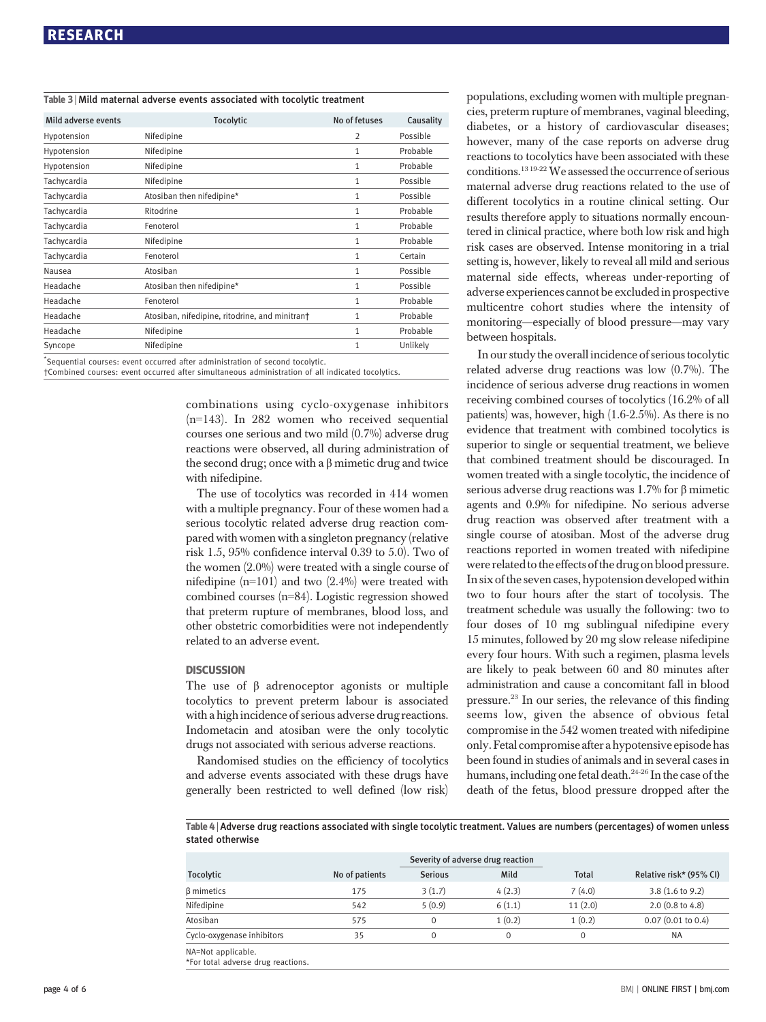#### Table 3 <sup>|</sup> Mild maternal adverse events associated with tocolytic treatment

| Mild adverse events      | <b>Tocolytic</b>                               | No of fetuses  | Causality |
|--------------------------|------------------------------------------------|----------------|-----------|
| Hypotension              | Nifedipine                                     | $\mathfrak{D}$ | Possible  |
| Hypotension              | Nifedipine                                     | 1              | Probable  |
| Hypotension              | Nifedipine                                     | 1              | Probable  |
| Tachycardia              | Nifedipine                                     | 1              | Possible  |
| Tachycardia              | Atosiban then nifedipine*                      | 1              | Possible  |
| Tachycardia              | Ritodrine                                      | 1              | Probable  |
| Tachycardia              | Fenoterol                                      | 1              | Probable  |
| Tachycardia              | Nifedipine                                     | 1              | Probable  |
| Tachycardia              | Fenoterol                                      | 1              | Certain   |
| Nausea                   | Atosiban                                       | 1              | Possible  |
| Headache                 | Atosiban then nifedipine*                      | 1              | Possible  |
| Headache                 | Fenoterol                                      | 1              | Probable  |
| Headache                 | Atosiban, nifedipine, ritodrine, and minitran† | 1              | Probable  |
| Headache                 | Nifedipine                                     | 1              | Probable  |
| Syncope                  | Nifedipine                                     | 1              | Unlikely  |
| $*$ $-$<br>$\sim$ $\sim$ |                                                |                |           |

\* Sequential courses: event occurred after administration of second tocolytic. †Combined courses: event occurred after simultaneous administration of all indicated tocolytics.

> combinations using cyclo-oxygenase inhibitors (n=143). In 282 women who received sequential courses one serious and two mild (0.7%) adverse drug reactions were observed, all during administration of the second drug; once with a β mimetic drug and twice with nifedipine.

> The use of tocolytics was recorded in 414 women with a multiple pregnancy. Four of these women had a serious tocolytic related adverse drug reaction compared with women with a singleton pregnancy (relative risk 1.5, 95% confidence interval 0.39 to 5.0). Two of the women (2.0%) were treated with a single course of nifedipine  $(n=101)$  and two  $(2.4\%)$  were treated with combined courses (n=84). Logistic regression showed that preterm rupture of membranes, blood loss, and other obstetric comorbidities were not independently related to an adverse event.

#### **DISCUSSION**

The use of β adrenoceptor agonists or multiple tocolytics to prevent preterm labour is associated with a high incidence of serious adverse drug reactions. Indometacin and atosiban were the only tocolytic drugs not associated with serious adverse reactions.

Randomised studies on the efficiency of tocolytics and adverse events associated with these drugs have generally been restricted to well defined (low risk)

populations, excluding women with multiple pregnancies, preterm rupture of membranes, vaginal bleeding, diabetes, or a history of cardiovascular diseases; however, many of the case reports on adverse drug reactions to tocolytics have been associated with these conditions.13 19-22We assessed the occurrence of serious maternal adverse drug reactions related to the use of different tocolytics in a routine clinical setting. Our results therefore apply to situations normally encountered in clinical practice, where both low risk and high risk cases are observed. Intense monitoring in a trial setting is, however, likely to reveal all mild and serious maternal side effects, whereas under-reporting of adverse experiences cannot be excluded in prospective multicentre cohort studies where the intensity of monitoring—especially of blood pressure—may vary between hospitals.

In our study the overall incidence of serious tocolytic related adverse drug reactions was low (0.7%). The incidence of serious adverse drug reactions in women receiving combined courses of tocolytics (16.2% of all patients) was, however, high (1.6-2.5%). As there is no evidence that treatment with combined tocolytics is superior to single or sequential treatment, we believe that combined treatment should be discouraged. In women treated with a single tocolytic, the incidence of serious adverse drug reactions was 1.7% for β mimetic agents and 0.9% for nifedipine. No serious adverse drug reaction was observed after treatment with a single course of atosiban. Most of the adverse drug reactions reported in women treated with nifedipine were related to the effects of the drug on blood pressure. In six of the seven cases, hypotension developed within two to four hours after the start of tocolysis. The treatment schedule was usually the following: two to four doses of 10 mg sublingual nifedipine every 15 minutes, followed by 20 mg slow release nifedipine every four hours. With such a regimen, plasma levels are likely to peak between 60 and 80 minutes after administration and cause a concomitant fall in blood pressure.23 In our series, the relevance of this finding seems low, given the absence of obvious fetal compromise in the 542 women treated with nifedipine only. Fetal compromise after a hypotensive episode has been found in studies of animals and in several cases in humans, including one fetal death.24-26 In the case of the death of the fetus, blood pressure dropped after the

Table 4 <sup>|</sup> Adverse drug reactions associated with single tocolytic treatment. Values are numbers (percentages) of women unless stated otherwise

|                            |                |                | Severity of adverse drug reaction |              |                            |
|----------------------------|----------------|----------------|-----------------------------------|--------------|----------------------------|
| <b>Tocolytic</b>           | No of patients | <b>Serious</b> | Mild                              | <b>Total</b> | Relative risk* (95% CI)    |
| $\beta$ mimetics           | 175            | 3(1.7)         | 4(2.3)                            | 7(4.0)       | $3.8(1.6 \text{ to } 9.2)$ |
| Nifedipine                 | 542            | 5(0.9)         | 6(1.1)                            | 11(2.0)      | $2.0$ (0.8 to 4.8)         |
| Atosiban                   | 575            | 0              | 1(0.2)                            | 1(0.2)       | 0.07(0.01 to 0.4)          |
| Cyclo-oxygenase inhibitors | 35             | 0              | 0                                 | 0            | <b>NA</b>                  |
| NA=Not applicable.         |                |                |                                   |              |                            |

\*For total adverse drug reactions.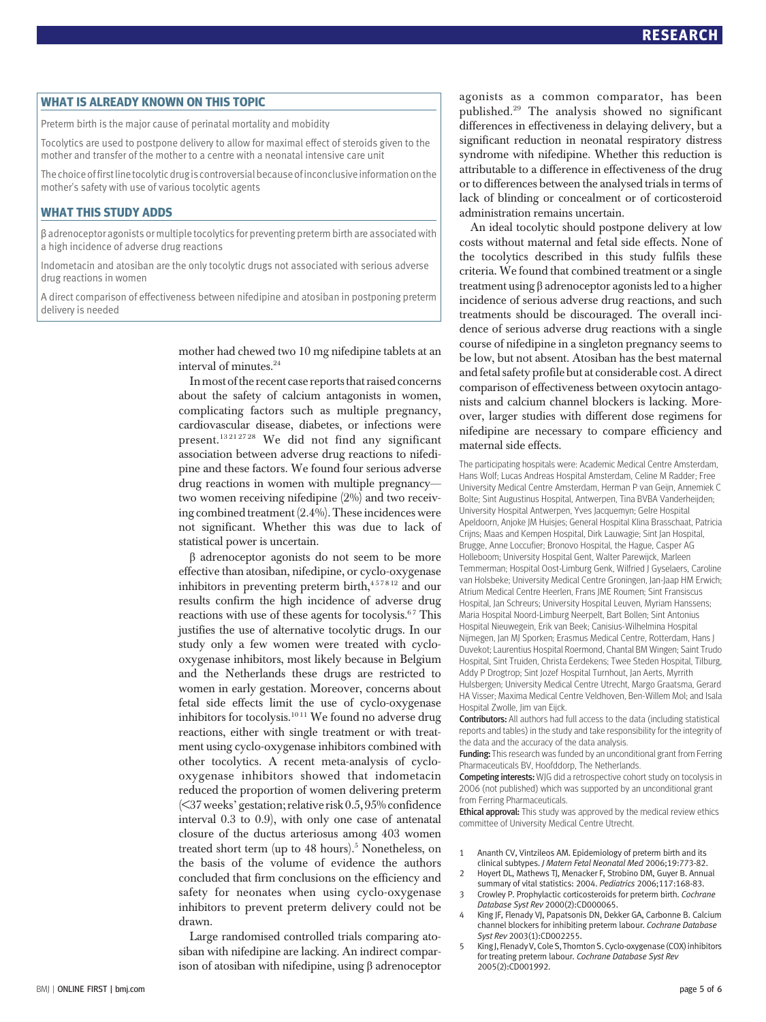#### WHAT IS ALREADY KNOWN ON THIS TOPIC

Preterm birth is the major cause of perinatal mortality and mobidity

Tocolytics are used to postpone delivery to allow for maximal effect of steroids given to the mother and transfer of the mother to a centre with a neonatal intensive care unit

The choice of first line tocolytic drug is controversial because of inconclusive information on the mother's safety with use of various tocolytic agents

#### WHAT THIS STUDY ADDS

β adrenoceptor agonists or multiple tocolytics for preventing preterm birth are associated with a high incidence of adverse drug reactions

Indometacin and atosiban are the only tocolytic drugs not associated with serious adverse drug reactions in women

A direct comparison of effectiveness between nifedipine and atosiban in postponing preterm delivery is needed

> mother had chewed two 10 mg nifedipine tablets at an interval of minutes.24

> In most of the recent case reports that raised concerns about the safety of calcium antagonists in women, complicating factors such as multiple pregnancy, cardiovascular disease, diabetes, or infections were present.13 21 27 28 We did not find any significant association between adverse drug reactions to nifedipine and these factors. We found four serious adverse drug reactions in women with multiple pregnancy two women receiving nifedipine (2%) and two receiving combined treatment (2.4%). These incidences were not significant. Whether this was due to lack of statistical power is uncertain.

β adrenoceptor agonists do not seem to be more effective than atosiban, nifedipine, or cyclo-oxygenase inhibitors in preventing preterm birth,<sup>457812</sup> and our results confirm the high incidence of adverse drug reactions with use of these agents for tocolysis.<sup>67</sup> This justifies the use of alternative tocolytic drugs. In our study only a few women were treated with cyclooxygenase inhibitors, most likely because in Belgium and the Netherlands these drugs are restricted to women in early gestation. Moreover, concerns about fetal side effects limit the use of cyclo-oxygenase inhibitors for tocolysis.<sup>1011</sup> We found no adverse drug reactions, either with single treatment or with treatment using cyclo-oxygenase inhibitors combined with other tocolytics. A recent meta-analysis of cyclooxygenase inhibitors showed that indometacin reduced the proportion of women delivering preterm (<37 weeks' gestation; relative risk 0.5, 95% confidence interval 0.3 to 0.9), with only one case of antenatal closure of the ductus arteriosus among 403 women treated short term (up to 48 hours).<sup>5</sup> Nonetheless, on the basis of the volume of evidence the authors concluded that firm conclusions on the efficiency and safety for neonates when using cyclo-oxygenase inhibitors to prevent preterm delivery could not be drawn.

Large randomised controlled trials comparing atosiban with nifedipine are lacking. An indirect comparison of atosiban with nifedipine, using β adrenoceptor agonists as a common comparator, has been published.<sup>29</sup> The analysis showed no significant differences in effectiveness in delaying delivery, but a significant reduction in neonatal respiratory distress syndrome with nifedipine. Whether this reduction is attributable to a difference in effectiveness of the drug or to differences between the analysed trials in terms of lack of blinding or concealment or of corticosteroid administration remains uncertain.

An ideal tocolytic should postpone delivery at low costs without maternal and fetal side effects. None of the tocolytics described in this study fulfils these criteria. We found that combined treatment or a single treatment using β adrenoceptor agonists led to a higher incidence of serious adverse drug reactions, and such treatments should be discouraged. The overall incidence of serious adverse drug reactions with a single course of nifedipine in a singleton pregnancy seems to be low, but not absent. Atosiban has the best maternal and fetal safety profile but at considerable cost. A direct comparison of effectiveness between oxytocin antagonists and calcium channel blockers is lacking. Moreover, larger studies with different dose regimens for nifedipine are necessary to compare efficiency and maternal side effects.

The participating hospitals were: Academic Medical Centre Amsterdam, Hans Wolf; Lucas Andreas Hospital Amsterdam, Celine M Radder; Free University Medical Centre Amsterdam, Herman P van Geijn, Annemiek C Bolte; Sint Augustinus Hospital, Antwerpen, Tina BVBA Vanderheijden; University Hospital Antwerpen, Yves Jacquemyn; Gelre Hospital Apeldoorn, Anjoke JM Huisjes; General Hospital Klina Brasschaat, Patricia Crijns; Maas and Kempen Hospital, Dirk Lauwagie; Sint Jan Hospital, Brugge, Anne Loccufier; Bronovo Hospital, the Hague, Casper AG Holleboom; University Hospital Gent, Walter Parewijck, Marleen Temmerman; Hospital Oost-Limburg Genk, Wilfried J Gyselaers, Caroline van Holsbeke; University Medical Centre Groningen, Jan-Jaap HM Erwich; Atrium Medical Centre Heerlen, Frans JME Roumen; Sint Fransiscus Hospital, Jan Schreurs; University Hospital Leuven, Myriam Hanssens; Maria Hospital Noord-Limburg Neerpelt, Bart Bollen; Sint Antonius Hospital Nieuwegein, Erik van Beek; Canisius-Wilhelmina Hospital Nijmegen, Jan MJ Sporken; Erasmus Medical Centre, Rotterdam, Hans J Duvekot; Laurentius Hospital Roermond, Chantal BM Wingen; Saint Trudo Hospital, Sint Truiden, Christa Eerdekens; Twee Steden Hospital, Tilburg, Addy P Drogtrop; Sint Jozef Hospital Turnhout, Jan Aerts, Myrrith Hulsbergen; University Medical Centre Utrecht, Margo Graatsma, Gerard HA Visser; Maxima Medical Centre Veldhoven, Ben-Willem Mol; and Isala Hospital Zwolle, Jim van Eijck.

Contributors: All authors had full access to the data (including statistical reports and tables) in the study and take responsibility for the integrity of the data and the accuracy of the data analysis.

Funding: This research was funded by an unconditional grant from Ferring Pharmaceuticals BV, Hoofddorp, The Netherlands.

Competing interests:WJG did a retrospective cohort study on tocolysis in 2006 (not published) which was supported by an unconditional grant from Ferring Pharmaceuticals.

Ethical approval: This study was approved by the medical review ethics committee of University Medical Centre Utrecht.

- 1 Ananth CV, Vintzileos AM. Epidemiology of preterm birth and its clinical subtypes. J Matern Fetal Neonatal Med 2006;19:773-82.
- 2 Hovert DL, Mathews TL, Menacker F, Strobino DM, Guyer B, Annual summary of vital statistics: 2004. Pediatrics 2006;117:168-83.
- 3 Crowley P. Prophylactic corticosteroids for preterm birth. Cochrane Database Syst Rev 2000(2):CD000065.
- 4 King JF, Flenady VJ, Papatsonis DN, Dekker GA, Carbonne B. Calcium channel blockers for inhibiting preterm labour. Cochrane Database Syst Rev 2003(1):CD002255.
- KingJ, Flenady V, Cole S, Thornton S. Cyclo-oxygenase (COX) inhibitors for treating preterm labour. Cochrane Database Syst Rev 2005(2):CD001992.